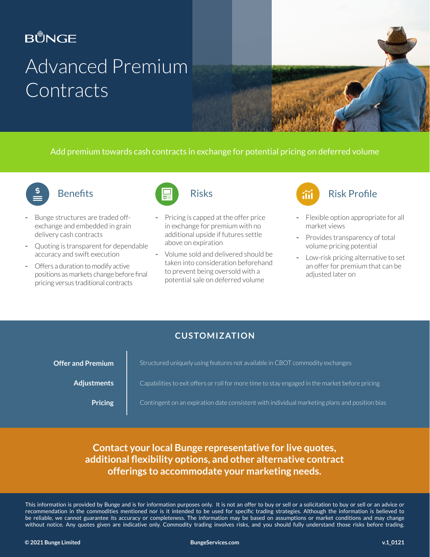### **BŮNGE**

# Advanced Premium **Contracts**

Add premium towards cash contracts in exchange for potential pricing on deferred volume



#### **Benefits**

- Bunge structures are traded offexchange and embedded in grain delivery cash contracts
- Quoting is transparent for dependable accuracy and swift execution
- Offers a duration to modify active positions as markets change before final pricing versus traditional contracts



- Pricing is capped at the offer price in exchange for premium with no additional upside if futures settle above on expiration
- Volume sold and delivered should be taken into consideration beforehand to prevent being oversold with a potential sale on deferred volume



- Flexible option appropriate for all market views
- Provides transparency of total volume pricing potential
- Low-risk pricing alternative to set an offer for premium that can be adjusted later on

#### **CUSTOMIZATION**

| <b>Offer and Premium</b> | Structured uniquely using features not available in CBOT commodity exchanges                   |
|--------------------------|------------------------------------------------------------------------------------------------|
| <b>Adjustments</b>       | Capabilities to exit offers or roll for more time to stay engaged in the market before pricing |
| Pricing                  | Contingent on an expiration date consistent with individual marketing plans and position bias  |

#### **Contact your local Bunge representative for live quotes, additional flexibility options, and other alternative contract offerings to accommodate your marketing needs.**

This information is provided by Bunge and is for information purposes only. It is not an offer to buy or sell or a solicitation to buy or sell or an advice or recommendation in the commodities mentioned nor is it intended to be used for specific trading strategies. Although the information is believed to be reliable, we cannot guarantee its accuracy or completeness. The information may be based on assumptions or market conditions and may change without notice. Any quotes given are indicative only. Commodity trading involves risks, and you should fully understand those risks before trading.